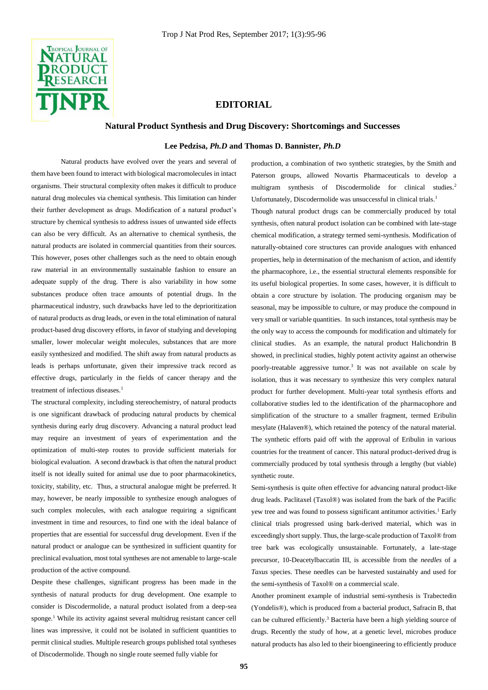

# **EDITORIAL**

## **Natural Product Synthesis and Drug Discovery: Shortcomings and Successes**

## **Lee Pedzisa,** *Ph.D* **and Thomas D. Bannister,** *Ph.D*

Natural products have evolved over the years and several of them have been found to interact with biological macromolecules in intact organisms. Their structural complexity often makes it difficult to produce natural drug molecules via chemical synthesis. This limitation can hinder their further development as drugs. Modification of a natural product's structure by chemical synthesis to address issues of unwanted side effects can also be very difficult. As an alternative to chemical synthesis, the natural products are isolated in commercial quantities from their sources. This however, poses other challenges such as the need to obtain enough raw material in an environmentally sustainable fashion to ensure an adequate supply of the drug. There is also variability in how some substances produce often trace amounts of potential drugs. In the pharmaceutical industry, such drawbacks have led to the deprioritization of natural products as drug leads, or even in the total elimination of natural product-based drug discovery efforts, in favor of studying and developing smaller, lower molecular weight molecules, substances that are more easily synthesized and modified. The shift away from natural products as leads is perhaps unfortunate, given their impressive track record as effective drugs, particularly in the fields of cancer therapy and the treatment of infectious diseases.<sup>1</sup>

The structural complexity, including stereochemistry, of natural products is one significant drawback of producing natural products by chemical synthesis during early drug discovery. Advancing a natural product lead may require an investment of years of experimentation and the optimization of multi-step routes to provide sufficient materials for biological evaluation. A second drawback is that often the natural product itself is not ideally suited for animal use due to poor pharmacokinetics, toxicity, stability, etc. Thus, a structural analogue might be preferred. It may, however, be nearly impossible to synthesize enough analogues of such complex molecules, with each analogue requiring a significant investment in time and resources, to find one with the ideal balance of properties that are essential for successful drug development. Even if the natural product or analogue can be synthesized in sufficient quantity for preclinical evaluation, most total syntheses are not amenable to large-scale production of the active compound.

Despite these challenges, significant progress has been made in the synthesis of natural products for drug development. One example to consider is Discodermolide, a natural product isolated from a deep-sea sponge.<sup>1</sup> While its activity against several multidrug resistant cancer cell lines was impressive, it could not be isolated in sufficient quantities to permit clinical studies. Multiple research groups published total syntheses of Discodermolide. Though no single route seemed fully viable for

production, a combination of two synthetic strategies, by the Smith and Paterson groups, allowed Novartis Pharmaceuticals to develop a multigram synthesis of Discodermolide for clinical studies.<sup>2</sup> Unfortunately, Discodermolide was unsuccessful in clinical trials.<sup>1</sup>

Though natural product drugs can be commercially produced by total synthesis, often natural product isolation can be combined with late-stage chemical modification, a strategy termed semi-synthesis. Modification of naturally-obtained core structures can provide analogues with enhanced properties, help in determination of the mechanism of action, and identify the pharmacophore, i.e., the essential structural elements responsible for its useful biological properties. In some cases, however, it is difficult to obtain a core structure by isolation. The producing organism may be seasonal, may be impossible to culture, or may produce the compound in very small or variable quantities. In such instances, total synthesis may be the only way to access the compounds for modification and ultimately for clinical studies. As an example, the natural product Halichondrin B showed, in preclinical studies, highly potent activity against an otherwise poorly-treatable aggressive tumor.<sup>3</sup> It was not available on scale by isolation, thus it was necessary to synthesize this very complex natural product for further development. Multi-year total synthesis efforts and collaborative studies led to the identification of the pharmacophore and simplification of the structure to a smaller fragment, termed Eribulin mesylate (Halaven®), which retained the potency of the natural material. The synthetic efforts paid off with the approval of Eribulin in various countries for the treatment of cancer. This natural product-derived drug is commercially produced by total synthesis through a lengthy (but viable) synthetic route.

Semi-synthesis is quite often effective for advancing natural product-like drug leads. Paclitaxel (Taxol®) was isolated from the bark of the Pacific yew tree and was found to possess significant antitumor activities.<sup>1</sup> Early clinical trials progressed using bark-derived material, which was in exceedingly short supply. Thus, the large-scale production of Taxol® from tree bark was ecologically unsustainable. Fortunately, a late-stage precursor, 10-Deacetylbaccatin III, is accessible from the *needles* of a *Taxus* species. These needles can be harvested sustainably and used for the semi-synthesis of Taxol® on a commercial scale.

Another prominent example of industrial semi-synthesis is Trabectedin (Yondelis®), which is produced from a bacterial product, Safracin B, that can be cultured efficiently.<sup>3</sup> Bacteria have been a high yielding source of drugs. Recently the study of how, at a genetic level, microbes produce natural products has also led to their bioengineering to efficiently produce